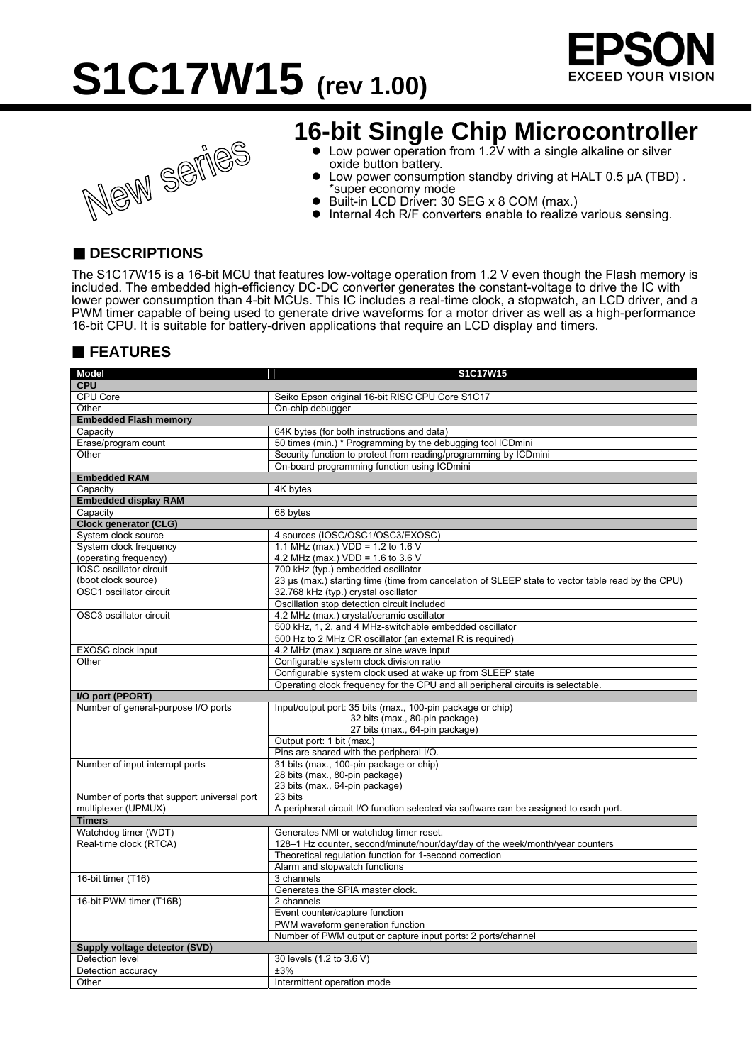





### **16-bit Single Chip Microcontroller**

- $\bullet$  Low power operation from 1.2V with a single alkaline or silver oxide button battery.
- Low power consumption standby driving at HALT 0.5 μA (TBD). \*super economy mode
- Built-in LCD Driver: 30 SEG x 8 COM (max.)
- z Internal 4ch R/F converters enable to realize various sensing.

#### ■ **DESCRIPTIONS**

The S1C17W15 is a 16-bit MCU that features low-voltage operation from 1.2 V even though the Flash memory is included. The embedded high-efficiency DC-DC converter generates the constant-voltage to drive the IC with lower power consumption than 4-bit MCUs. This IC includes a real-time clock, a stopwatch, an LCD driver, and a PWM timer capable of being used to generate drive waveforms for a motor driver as well as a high-performance 16-bit CPU. It is suitable for battery-driven applications that require an LCD display and timers.

#### **FEATURES**

| <b>Model</b>                                            | S1C17W15                                                                                                                                |
|---------------------------------------------------------|-----------------------------------------------------------------------------------------------------------------------------------------|
| <b>CPU</b>                                              |                                                                                                                                         |
| CPU Core                                                | Seiko Epson original 16-bit RISC CPU Core S1C17                                                                                         |
| Other                                                   | On-chip debugger                                                                                                                        |
| <b>Embedded Flash memory</b>                            |                                                                                                                                         |
| Capacity                                                | 64K bytes (for both instructions and data)                                                                                              |
| Erase/program count                                     | 50 times (min.) * Programming by the debugging tool ICDmini                                                                             |
| Other                                                   | Security function to protect from reading/programming by ICDmini                                                                        |
|                                                         | On-board programming function using ICDmini                                                                                             |
| <b>Embedded RAM</b>                                     |                                                                                                                                         |
| Capacity                                                | 4K bytes                                                                                                                                |
| <b>Embedded display RAM</b>                             |                                                                                                                                         |
| Capacity                                                | 68 bytes                                                                                                                                |
| <b>Clock generator (CLG)</b>                            |                                                                                                                                         |
| System clock source                                     | 4 sources (IOSC/OSC1/OSC3/EXOSC)                                                                                                        |
| System clock frequency                                  | 1.1 MHz (max.) $VDD = 1.2$ to 1.6 V                                                                                                     |
| (operating frequency)<br><b>IOSC</b> oscillator circuit | 4.2 MHz (max.) VDD = 1.6 to 3.6 V                                                                                                       |
| (boot clock source)                                     | 700 kHz (typ.) embedded oscillator<br>23 µs (max.) starting time (time from cancelation of SLEEP state to vector table read by the CPU) |
| OSC1 oscillator circuit                                 | 32.768 kHz (typ.) crystal oscillator                                                                                                    |
|                                                         | Oscillation stop detection circuit included                                                                                             |
| OSC3 oscillator circuit                                 | 4.2 MHz (max.) crystal/ceramic oscillator                                                                                               |
|                                                         | 500 kHz, 1, 2, and 4 MHz-switchable embedded oscillator                                                                                 |
|                                                         | 500 Hz to 2 MHz CR oscillator (an external R is required)                                                                               |
| <b>EXOSC</b> clock input                                | 4.2 MHz (max.) square or sine wave input                                                                                                |
| Other                                                   | Configurable system clock division ratio                                                                                                |
|                                                         | Configurable system clock used at wake up from SLEEP state                                                                              |
|                                                         | Operating clock frequency for the CPU and all peripheral circuits is selectable.                                                        |
| I/O port (PPORT)                                        |                                                                                                                                         |
| Number of general-purpose I/O ports                     | Input/output port: 35 bits (max., 100-pin package or chip)                                                                              |
|                                                         | 32 bits (max., 80-pin package)                                                                                                          |
|                                                         | 27 bits (max., 64-pin package)                                                                                                          |
|                                                         | Output port: 1 bit (max.)                                                                                                               |
|                                                         | Pins are shared with the peripheral I/O.                                                                                                |
| Number of input interrupt ports                         | 31 bits (max., 100-pin package or chip)                                                                                                 |
|                                                         | 28 bits (max., 80-pin package)                                                                                                          |
|                                                         | 23 bits (max., 64-pin package)                                                                                                          |
| Number of ports that support universal port             | 23 bits                                                                                                                                 |
| multiplexer (UPMUX)                                     | A peripheral circuit I/O function selected via software can be assigned to each port.                                                   |
| <b>Timers</b>                                           |                                                                                                                                         |
| Watchdog timer (WDT)                                    | Generates NMI or watchdog timer reset.                                                                                                  |
| Real-time clock (RTCA)                                  | 128-1 Hz counter, second/minute/hour/day/day of the week/month/year counters                                                            |
|                                                         | Theoretical regulation function for 1-second correction                                                                                 |
|                                                         | Alarm and stopwatch functions                                                                                                           |
| 16-bit timer (T16)                                      | 3 channels                                                                                                                              |
| 16-bit PWM timer (T16B)                                 | Generates the SPIA master clock.<br>2 channels                                                                                          |
|                                                         | Event counter/capture function                                                                                                          |
|                                                         | PWM waveform generation function                                                                                                        |
|                                                         | Number of PWM output or capture input ports: 2 ports/channel                                                                            |
| Supply voltage detector (SVD)                           |                                                                                                                                         |
| Detection level                                         | 30 levels (1.2 to 3.6 V)                                                                                                                |
| Detection accuracy                                      | ±3%                                                                                                                                     |
| Other                                                   | Intermittent operation mode                                                                                                             |
|                                                         |                                                                                                                                         |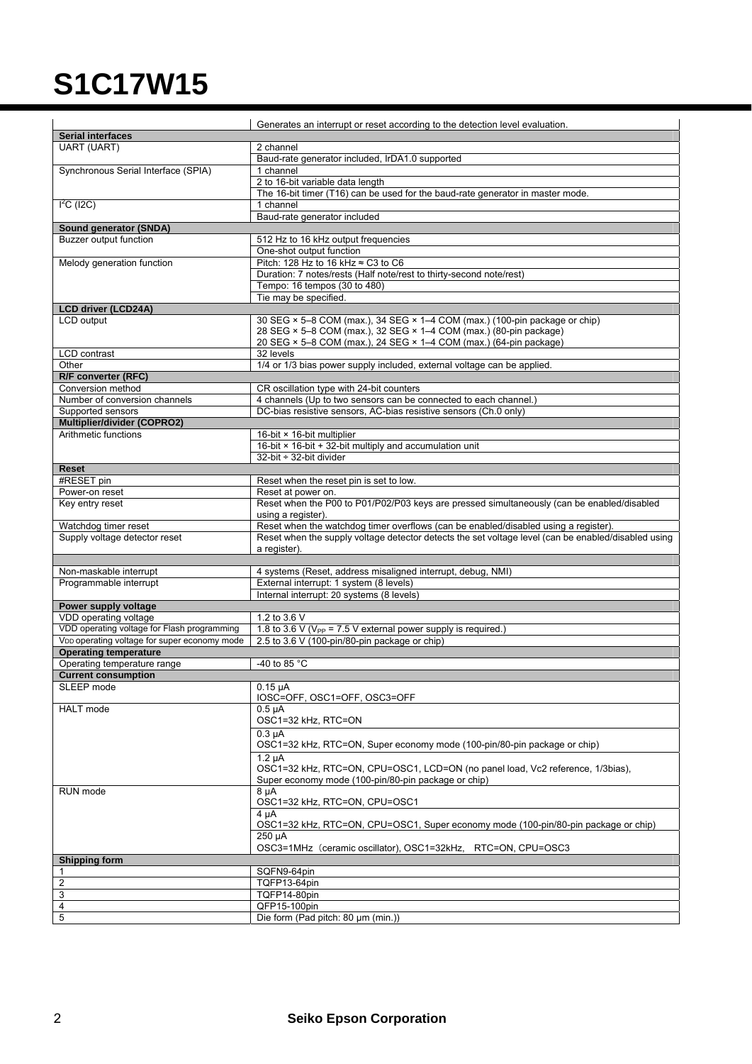|                                                          | Generates an interrupt or reset according to the detection level evaluation.                                                          |
|----------------------------------------------------------|---------------------------------------------------------------------------------------------------------------------------------------|
| <b>Serial interfaces</b>                                 |                                                                                                                                       |
| <b>UART (UART)</b>                                       | 2 channel                                                                                                                             |
|                                                          | Baud-rate generator included, IrDA1.0 supported                                                                                       |
| Synchronous Serial Interface (SPIA)                      | 1 channel                                                                                                                             |
|                                                          | 2 to 16-bit variable data length                                                                                                      |
| $I2C$ (I2C)                                              | The 16-bit timer (T16) can be used for the baud-rate generator in master mode.<br>1 channel                                           |
|                                                          | Baud-rate generator included                                                                                                          |
| Sound generator (SNDA)                                   |                                                                                                                                       |
| <b>Buzzer output function</b>                            | 512 Hz to 16 kHz output frequencies                                                                                                   |
|                                                          | One-shot output function                                                                                                              |
| Melody generation function                               | Pitch: 128 Hz to 16 kHz $\approx$ C3 to C6                                                                                            |
|                                                          | Duration: 7 notes/rests (Half note/rest to thirty-second note/rest)                                                                   |
|                                                          | Tempo: 16 tempos (30 to 480)                                                                                                          |
|                                                          | Tie may be specified.                                                                                                                 |
| <b>LCD driver (LCD24A)</b><br>LCD output                 | 30 SEG $\times$ 5-8 COM (max.), 34 SEG $\times$ 1-4 COM (max.) (100-pin package or chip)                                              |
|                                                          | 28 SEG × 5-8 COM (max.), 32 SEG × 1-4 COM (max.) (80-pin package)                                                                     |
|                                                          | 20 SEG × 5-8 COM (max.), 24 SEG × 1-4 COM (max.) (64-pin package)                                                                     |
| LCD contrast                                             | 32 levels                                                                                                                             |
| Other                                                    | 1/4 or 1/3 bias power supply included, external voltage can be applied.                                                               |
| R/F converter (RFC)                                      |                                                                                                                                       |
| Conversion method                                        | CR oscillation type with 24-bit counters                                                                                              |
| Number of conversion channels                            | 4 channels (Up to two sensors can be connected to each channel.)                                                                      |
| Supported sensors<br>Multiplier/divider (COPRO2)         | DC-bias resistive sensors, AC-bias resistive sensors (Ch.0 only)                                                                      |
| Arithmetic functions                                     | 16-bit × 16-bit multiplier                                                                                                            |
|                                                          | 16-bit × 16-bit + 32-bit multiply and accumulation unit                                                                               |
|                                                          | 32-bit ÷ 32-bit divider                                                                                                               |
| <b>Reset</b>                                             |                                                                                                                                       |
| #RESET pin                                               | Reset when the reset pin is set to low.                                                                                               |
| Power-on reset                                           | Reset at power on.                                                                                                                    |
| Key entry reset                                          | Reset when the P00 to P01/P02/P03 keys are pressed simultaneously (can be enabled/disabled<br>using a register).                      |
| Watchdog timer reset                                     | Reset when the watchdog timer overflows (can be enabled/disabled using a register).                                                   |
| Supply voltage detector reset                            | Reset when the supply voltage detector detects the set voltage level (can be enabled/disabled using<br>a register).                   |
|                                                          |                                                                                                                                       |
| Non-maskable interrupt                                   | 4 systems (Reset, address misaligned interrupt, debug, NMI)                                                                           |
| Programmable interrupt                                   | External interrupt: 1 system (8 levels)                                                                                               |
|                                                          | Internal interrupt: 20 systems (8 levels)                                                                                             |
| Power supply voltage<br>VDD operating voltage            | 1.2 to 3.6 V                                                                                                                          |
| VDD operating voltage for Flash programming              | 1.8 to 3.6 V ( $V_{PP}$ = 7.5 V external power supply is required.)                                                                   |
| V <sub>DD</sub> operating voltage for super economy mode | 2.5 to 3.6 V (100-pin/80-pin package or chip)                                                                                         |
| <b>Operating temperature</b>                             |                                                                                                                                       |
| Operating temperature range                              | -40 to 85 °C                                                                                                                          |
| <b>Current consumption</b>                               |                                                                                                                                       |
| SLEEP mode                                               | $0.15 \mu A$                                                                                                                          |
|                                                          | IOSC=OFF, OSC1=OFF, OSC3=OFF                                                                                                          |
| <b>HALT</b> mode                                         | $0.5 \mu A$<br>OSC1=32 kHz, RTC=ON                                                                                                    |
|                                                          | $0.3 \mu A$                                                                                                                           |
|                                                          | OSC1=32 kHz, RTC=ON, Super economy mode (100-pin/80-pin package or chip)                                                              |
|                                                          | $1.2 \mu A$                                                                                                                           |
|                                                          | OSC1=32 kHz, RTC=ON, CPU=OSC1, LCD=ON (no panel load, Vc2 reference, 1/3bias),<br>Super economy mode (100-pin/80-pin package or chip) |
| RUN mode                                                 | $8 \mu A$                                                                                                                             |
|                                                          | OSC1=32 kHz, RTC=ON, CPU=OSC1<br>4 µA                                                                                                 |
|                                                          | OSC1=32 kHz, RTC=ON, CPU=OSC1, Super economy mode (100-pin/80-pin package or chip)                                                    |
|                                                          | 250 µA                                                                                                                                |
|                                                          | OSC3=1MHz (ceramic oscillator), OSC1=32kHz, RTC=ON, CPU=OSC3                                                                          |
| <b>Shipping form</b>                                     |                                                                                                                                       |
| 1                                                        | SQFN9-64pin                                                                                                                           |
| $\overline{c}$                                           | TQFP13-64pin                                                                                                                          |
| 3<br>4                                                   | TQFP14-80pin<br>QFP15-100pin                                                                                                          |
| 5                                                        | Die form (Pad pitch: 80 µm (min.))                                                                                                    |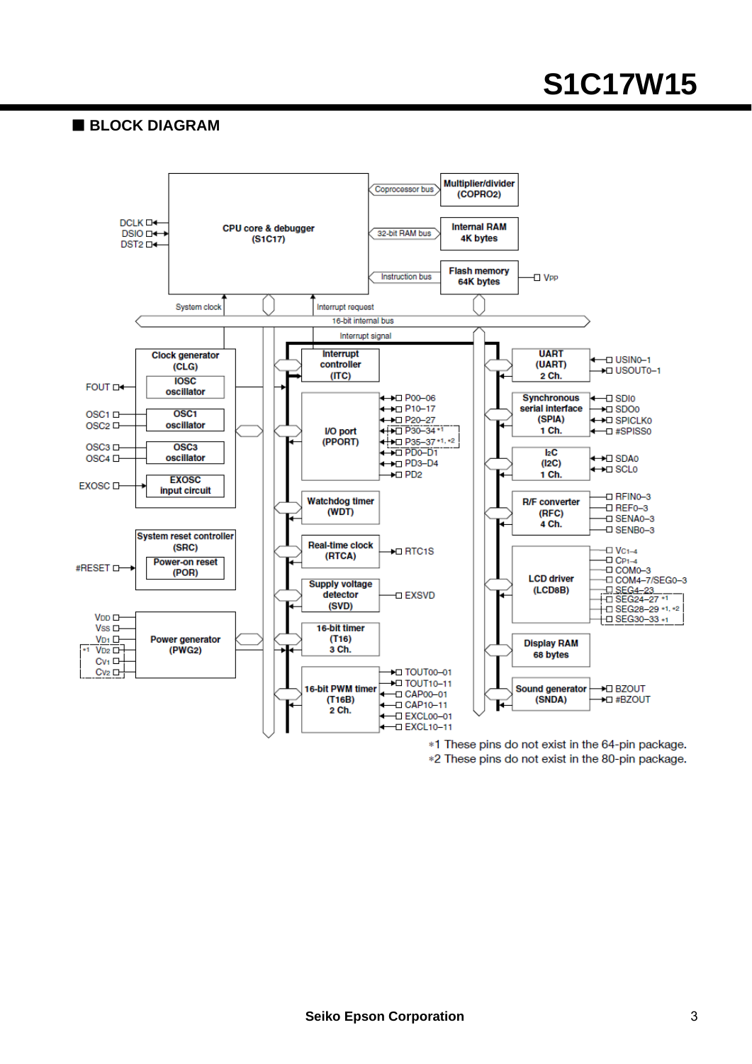#### **BLOCK DIAGRAM**



\*1 These pins do not exist in the 64-pin package. \*2 These pins do not exist in the 80-pin package.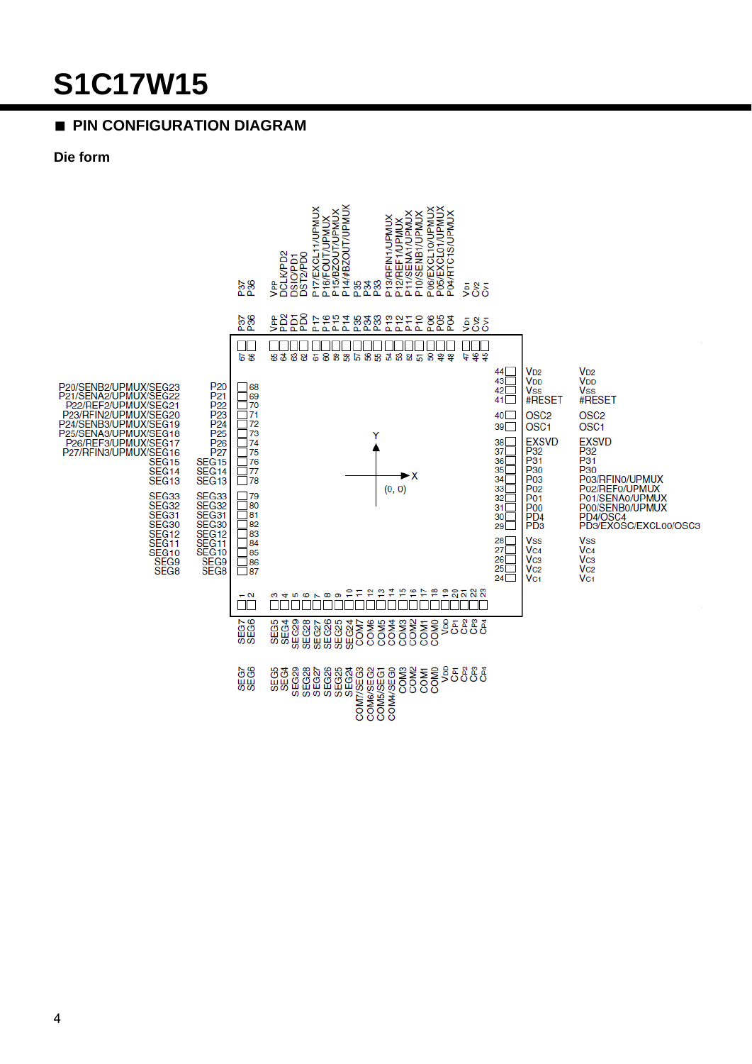#### **PIN CONFIGURATION DIAGRAM**

#### Die form

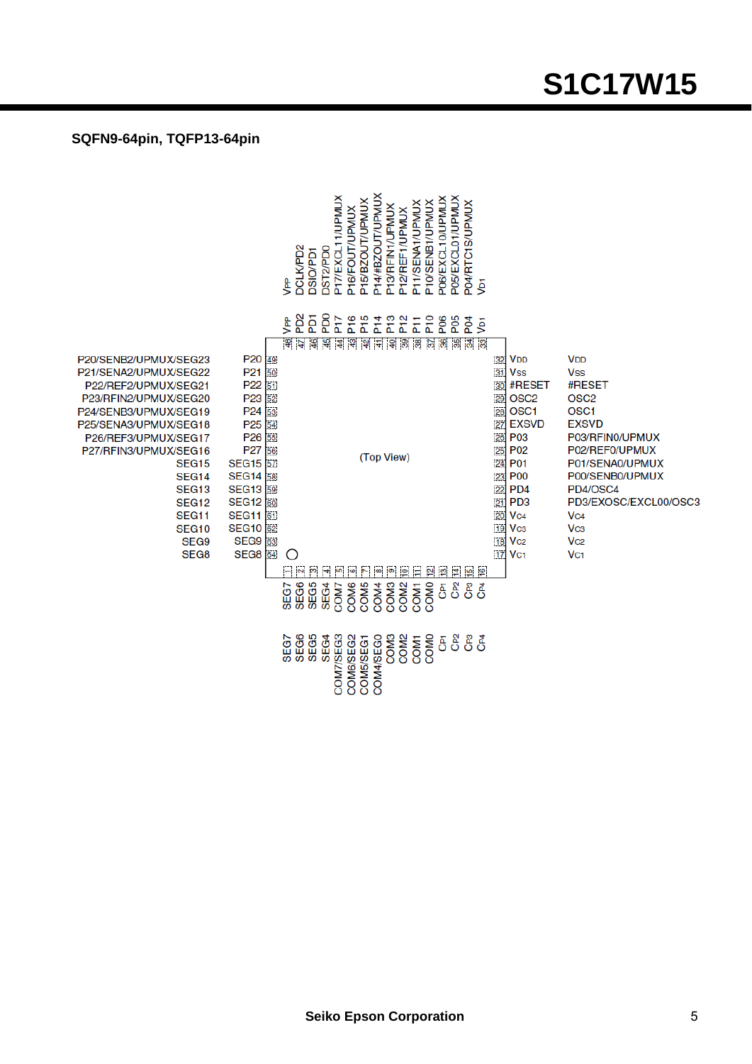#### **SQFN9-64pin, TQFP13-64pin**

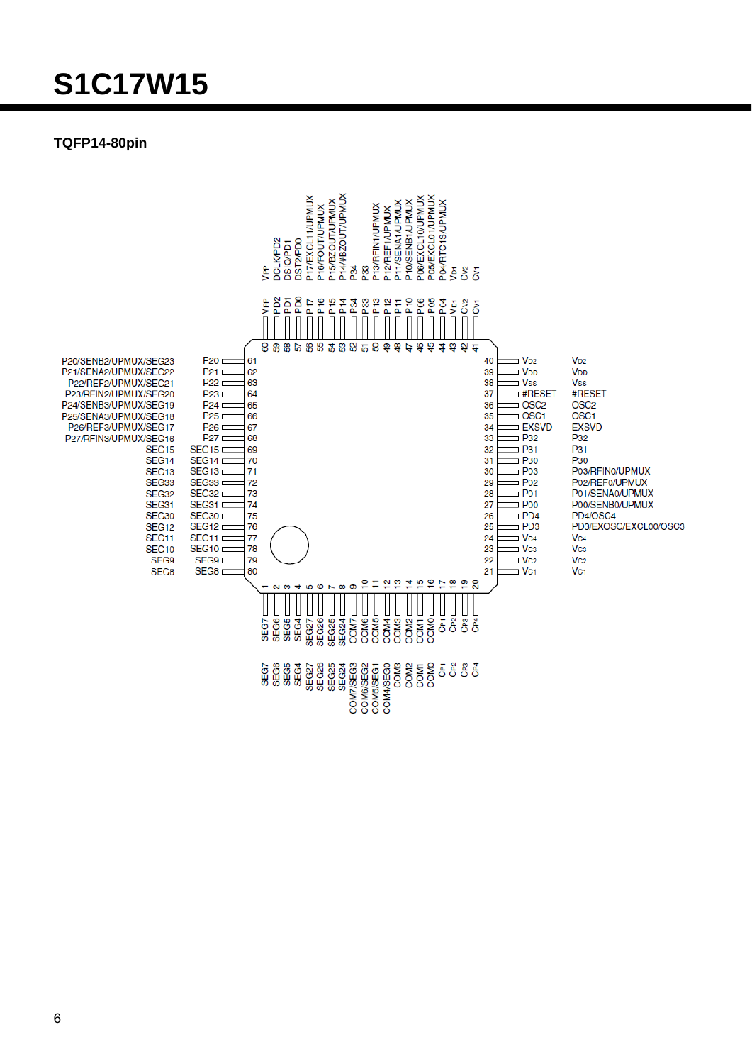#### TQFP14-80pin

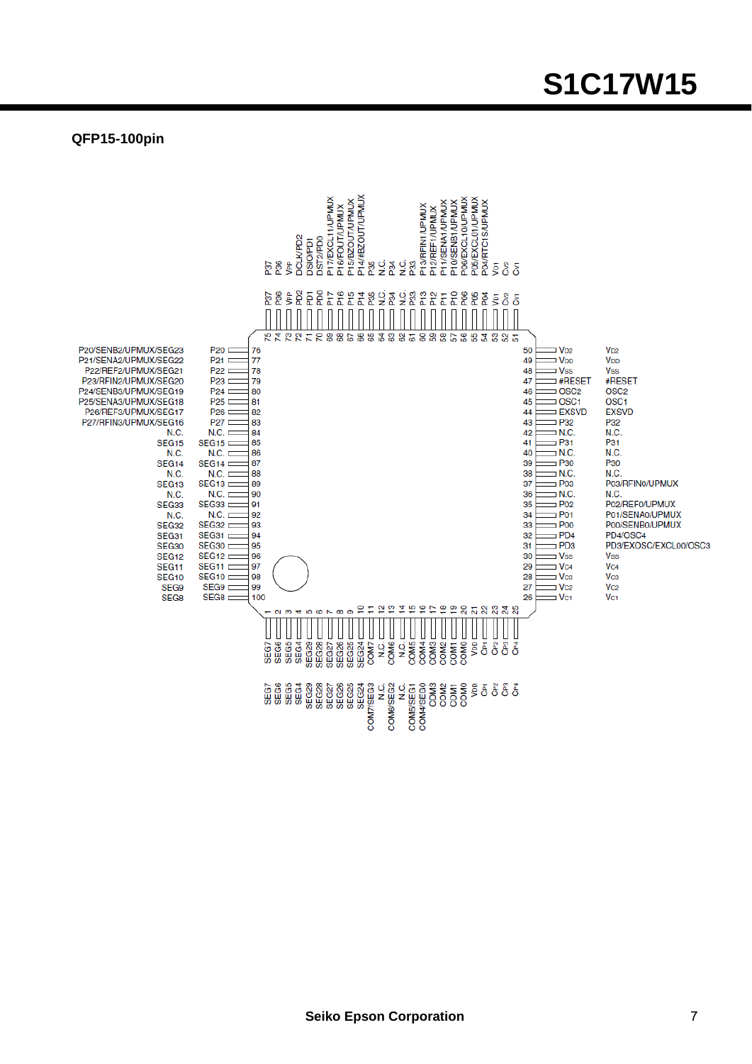#### **QFP15-100pin**

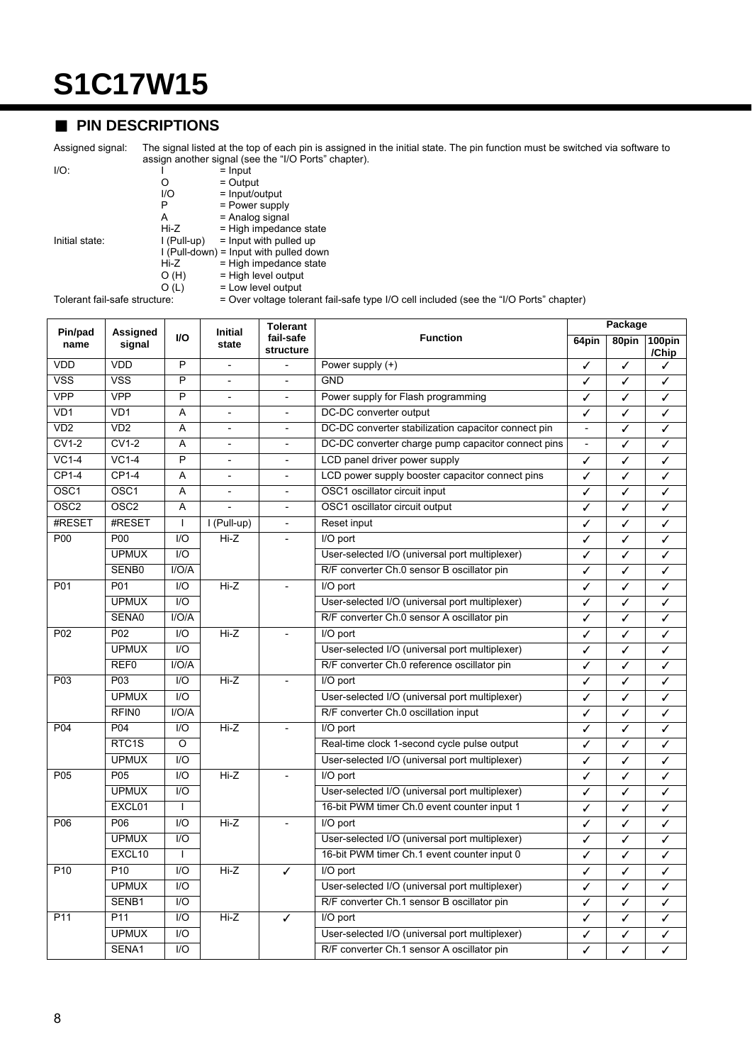### ■ **PIN DESCRIPTIONS**

Assigned signal: The signal listed at the top of each pin is assigned in the initial state. The pin function must be switched via software to assign another signal (see the "I/O Ports" chapter).

| ۰<br>ł<br>۰.<br>×<br>۰. |  |
|-------------------------|--|
|                         |  |

 $I/O:$   $I = Input$ O = Output I/O = Input/output<br>P = Power suppl  $P = Power supply$ <br>A = Analog signal

 $A =$  Analog signal<br> $Hi-Z =$  High impedan  $H_i-Z$  = High impedance state<br> $H_i$  = High impedance state<br> $H_i$  = Input with pulled up Initial state:  $I (Pull-up) = Input with pulled up$ I (Pull-down) = Input with pulled down  $Hi-Z$  = High impedance state  $O(H)$  = High level output

O (L)  $=$  Low level output<br>Tolerant fail-safe structure:  $=$  Over voltage tole

Tolerant fail-safe structure: = Over voltage tolerant fail-safe type I/O cell included (see the "I/O Ports" chapter)

| Pin/pad           | <b>Assigned</b>         |                         | <b>Initial</b>           | <b>Tolerant</b>          | <b>Function</b>                                     |                          | Package<br>64pin |                 |
|-------------------|-------------------------|-------------------------|--------------------------|--------------------------|-----------------------------------------------------|--------------------------|------------------|-----------------|
| name              | signal                  | VO.                     | state                    | fail-safe<br>structure   |                                                     |                          | 80pin            | 100pin<br>/Chip |
| <b>VDD</b>        | VDD                     | P                       | $\overline{a}$           |                          | Power supply (+)                                    | ✓                        | ✓                | ✓               |
| <b>VSS</b>        | $\overline{\text{VSS}}$ | $\overline{P}$          |                          |                          | <b>GND</b>                                          | ✓                        | ✓                | ✓               |
| <b>VPP</b>        | <b>VPP</b>              | $\overline{P}$          | $\overline{a}$           |                          | Power supply for Flash programming                  | ✓                        | ✓                | ✓               |
| VD1               | VD1                     | A                       | $\overline{\phantom{a}}$ | $\overline{a}$           | DC-DC converter output                              | ✓                        | ✓                | ✓               |
| $\overline{VD2}$  | VD2                     | A                       | $\overline{\phantom{0}}$ | $\overline{\phantom{0}}$ | DC-DC converter stabilization capacitor connect pin | $\overline{a}$           | ✓                | ✓               |
| $CV1-2$           | <b>CV1-2</b>            | A                       | $\overline{\phantom{a}}$ | $\blacksquare$           | DC-DC converter charge pump capacitor connect pins  | $\overline{\phantom{a}}$ | ✓                | ✓               |
| $VC1-4$           | $VC1-4$                 | $\overline{P}$          | $\overline{a}$           | $\overline{\phantom{a}}$ | LCD panel driver power supply                       | ✓                        | ✓                | ✓               |
| $CP1-4$           | $CP1-4$                 | A                       | $\overline{\phantom{a}}$ |                          | LCD power supply booster capacitor connect pins     | ✓                        | ✓                | ✓               |
| OSC <sub>1</sub>  | OSC <sub>1</sub>        | A                       | $\overline{a}$           |                          | OSC1 oscillator circuit input                       | ✓                        | ✓                | ✓               |
| $\overline{OSC2}$ | OSC <sub>2</sub>        | A                       |                          |                          | OSC1 oscillator circuit output                      | ✓                        | ✓                | ✓               |
| #RESET            | #RESET                  | $\mathbf{I}$            | I (Pull-up)              | $\overline{\phantom{a}}$ | Reset input                                         | ✓                        | ✓                | ✓               |
| P00               | P <sub>00</sub>         | 1/O                     | $Hi-Z$                   | $\overline{\phantom{a}}$ | I/O port                                            | ✓                        | ✓                | ✓               |
|                   | <b>UPMUX</b>            | $\overline{1/O}$        |                          |                          | User-selected I/O (universal port multiplexer)      | $\checkmark$             | ✓                | ✓               |
|                   | SENB0                   | I/O/A                   |                          |                          | R/F converter Ch.0 sensor B oscillator pin          | ✓                        | ✓                | ✓               |
| P01               | P01                     | I/O                     | $Hi-Z$                   | $\overline{a}$           | I/O port                                            | ✓                        | ✓                | ✓               |
|                   | <b>UPMUX</b>            | $\overline{1/O}$        |                          |                          | User-selected I/O (universal port multiplexer)      | J                        | ✓                | ✓               |
|                   | SENA0                   | I/O/A                   |                          |                          | R/F converter Ch.0 sensor A oscillator pin          | ✓                        | ✓                | ✓               |
| P <sub>02</sub>   | P <sub>02</sub>         | I/O                     | $Hi-Z$                   |                          | I/O port                                            | ✓                        | ✓                | ✓               |
|                   | <b>UPMUX</b>            | $II$                    |                          |                          | User-selected I/O (universal port multiplexer)      | ✓                        | ✓                | ✓               |
|                   | REF <sub>0</sub>        | I/O/A                   |                          |                          | R/F converter Ch.0 reference oscillator pin         | ✓                        | ✓                | ✓               |
| P <sub>0</sub> 3  | P03                     | 1/O                     | $Hi-Z$                   |                          | I/O port                                            | ✓                        | ✓                | ✓               |
|                   | <b>UPMUX</b>            | $II$                    |                          |                          | User-selected I/O (universal port multiplexer)      | ✓                        | ✓                | ✓               |
|                   | RFIN <sub>0</sub>       | I/O/A                   |                          |                          | R/F converter Ch.0 oscillation input                | ✓                        | ✓                | ✓               |
| P04               | P04                     | 1/O                     | $Hi-Z$                   |                          | I/O port                                            | ✓                        | ✓                | ✓               |
|                   | RTC <sub>1</sub> S      | O                       |                          |                          | Real-time clock 1-second cycle pulse output         | ✓                        | ✓                | ✓               |
|                   | <b>UPMUX</b>            | $\mathsf{I}/\mathsf{O}$ |                          |                          | User-selected I/O (universal port multiplexer)      | ✓                        | ✓                | ✓               |
| P05               | P05                     | I/O                     | Hi-Z                     |                          | I/O port                                            |                          | ✓                | ✓               |
|                   | <b>UPMUX</b>            | $\overline{1/O}$        |                          |                          | User-selected I/O (universal port multiplexer)      | ✓                        | ✓                | ✓               |
|                   | EXCL01                  | $\overline{1}$          |                          |                          | 16-bit PWM timer Ch.0 event counter input 1         | ✓                        | ✓                | ✓               |
| P06               | P06                     | I/O                     | $Hi-Z$                   |                          | I/O port                                            | ✓                        | ✓                | ✓               |
|                   | <b>UPMUX</b>            | $\overline{1/O}$        |                          |                          | User-selected I/O (universal port multiplexer)      | ✓                        | ✓                | ✓               |
|                   | EXCL10                  | $\mathbf{I}$            |                          |                          | 16-bit PWM timer Ch.1 event counter input 0         | ✓                        | ✓                | ✓               |
| P <sub>10</sub>   | P <sub>10</sub>         | $\overline{1/O}$        | $Hi-Z$                   | I/O port<br>✓            |                                                     | ✓                        | ✓                | ✓               |
|                   | <b>UPMUX</b>            | 1/O                     |                          |                          | User-selected I/O (universal port multiplexer)      |                          | ✓                | ✓               |
|                   | SENB1                   | $\overline{1/O}$        |                          |                          | R/F converter Ch.1 sensor B oscillator pin          |                          | ✓                | ✓               |
| P <sub>11</sub>   | P11                     | $\overline{1/O}$        | $Hi-Z$                   | J                        | I/O port                                            |                          | J                | ✓               |
|                   | <b>UPMUX</b>            | 1/O                     |                          |                          | User-selected I/O (universal port multiplexer)      | ✓                        | ✓                | ✓               |
|                   | SENA1                   | 1/O                     |                          |                          | R/F converter Ch.1 sensor A oscillator pin          | ✓                        | ✓                | ✓               |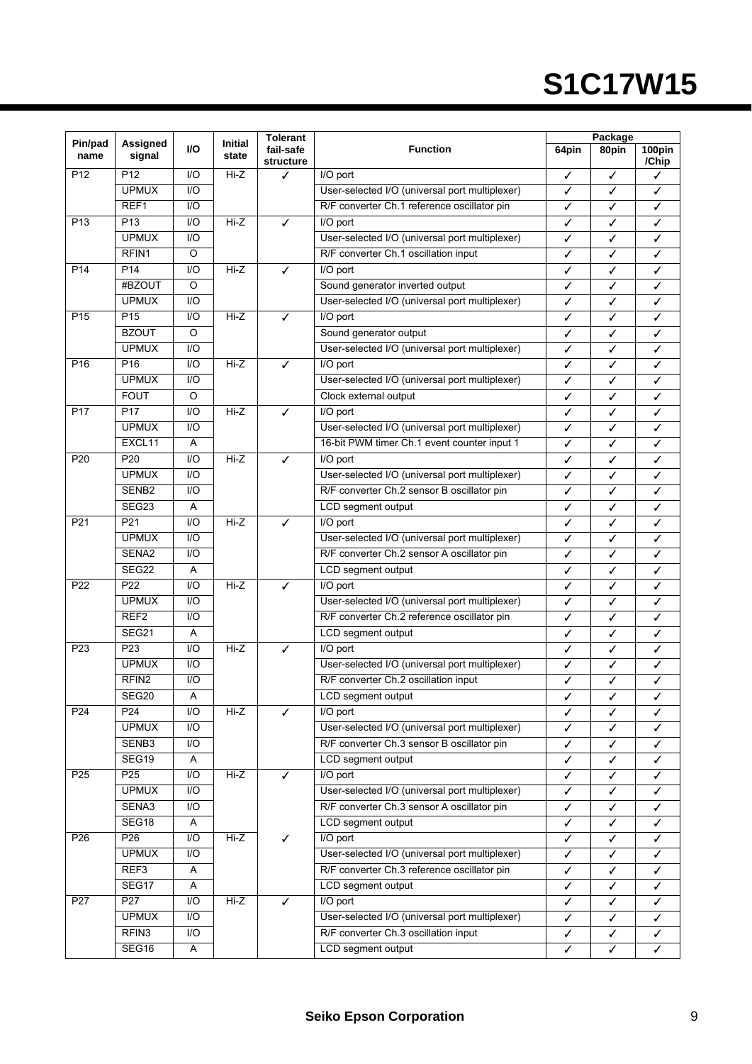| VO<br>fail-safe<br><b>Function</b><br>64pin<br>80pin<br>name<br>signal<br>state<br>/Chip<br>structure<br>P <sub>12</sub><br>P <sub>12</sub><br>1/O<br>Hi-Z<br>I/O port<br>✓<br>✓<br>✓<br><b>UPMUX</b><br>1/O<br>User-selected I/O (universal port multiplexer)<br>✓<br>✓<br>✓<br>REF <sub>1</sub><br>$\overline{1/O}$<br>R/F converter Ch.1 reference oscillator pin<br>✓<br>✓<br>✓<br>P <sub>13</sub><br>1/O<br>$Hi-Z$<br>P <sub>13</sub><br>$\overline{1/O}$ port<br>✓<br>✓<br>✓<br>✓<br><b>UPMUX</b><br>I/O<br>User-selected I/O (universal port multiplexer)<br>✓<br>✓<br>✓<br>RFIN1<br>$\overline{O}$<br>R/F converter Ch.1 oscillation input<br>✓<br>✓<br>✓<br>P <sub>14</sub><br>$\overline{1/O}$<br>$Hi-Z$<br>P <sub>14</sub><br>I/O port<br>✓<br>✓<br>✓<br>✓<br>#BZOUT<br>$\circ$<br>Sound generator inverted output<br>✓<br>✓<br>✓<br><b>UPMUX</b><br>$\overline{1/O}$<br>User-selected I/O (universal port multiplexer)<br>✓<br>✓<br>✓<br>P <sub>15</sub><br>$\overline{Hi-Z}$<br>P <sub>15</sub><br>1/O<br>✓<br>I/O port<br>✓<br>✓<br>✓<br><b>BZOUT</b><br>O<br>Sound generator output<br>✓<br>✓<br>✓<br><b>UPMUX</b><br>$IVO$<br>User-selected I/O (universal port multiplexer)<br>✓<br>✓<br>✓<br>P <sub>16</sub><br>1/O<br>P <sub>16</sub><br>Hi-Z<br>I/O port<br>✓<br>✓<br>✓<br>✓<br><b>UPMUX</b><br>1/O<br>User-selected I/O (universal port multiplexer)<br>✓<br>✓<br>✓<br><b>FOUT</b><br>O<br>Clock external output<br>✓<br>✓<br>✓<br>P <sub>17</sub><br>P <sub>17</sub><br>I/O<br>Hi-Z<br>I/O port<br>✓<br>✓<br>✓<br>✓<br><b>UPMUX</b><br>$\overline{1/O}$<br>User-selected I/O (universal port multiplexer)<br>✓<br>✓<br>✓<br>EXCL11<br>16-bit PWM timer Ch.1 event counter input 1<br>Α<br>✓<br>✓<br>✓<br>1/O<br>$Hi-Z$<br>P <sub>20</sub><br>P <sub>20</sub><br>✓<br>I/O port<br>✓<br>✓<br>✓<br><b>UPMUX</b><br>$\overline{1/O}$<br>User-selected I/O (universal port multiplexer)<br>✓<br>✓<br>✓<br>R/F converter Ch.2 sensor B oscillator pin<br>SENB <sub>2</sub><br>1/O<br>✓<br>✓<br>✓<br>SEG23<br>A<br>LCD segment output<br>✓<br>✓<br>✓<br>P21<br>P21<br>1/O<br>Hi-Z<br>I/O port<br>✓<br>✓<br>✓<br>✓<br>User-selected I/O (universal port multiplexer)<br><b>UPMUX</b><br>$IVO$<br>✓<br>✓<br>✓<br>SENA2<br>1/O<br>R/F converter Ch.2 sensor A oscillator pin<br>✓<br>✓<br>✓<br>SEG22<br>LCD segment output<br>A<br>✓<br>✓<br>✓<br>$Hi-Z$<br>P22<br>1/O<br>P <sub>22</sub><br>I/O port<br>✓<br>✓<br>✓<br>✓<br>User-selected I/O (universal port multiplexer)<br><b>UPMUX</b><br>1/O<br>✓<br>✓<br>✓<br>REF <sub>2</sub><br>$\overline{10}$<br>R/F converter Ch.2 reference oscillator pin<br>✓<br>✓<br>✓<br>SEG21<br>A<br>LCD segment output<br>✓<br>✓<br>✓<br>1/O<br>$\overline{Hi-Z}$<br>P <sub>23</sub><br>P <sub>23</sub><br>I/O port<br>✓<br>✓<br>✓<br>✓<br><b>UPMUX</b><br>$IVO$<br>User-selected I/O (universal port multiplexer)<br>✓<br>✓<br>✓<br>RFIN <sub>2</sub><br>I/O<br>R/F converter Ch.2 oscillation input<br>✓<br>✓<br>✓<br>SEG20<br>Α<br>LCD segment output<br>✓<br>P <sub>24</sub><br>P <sub>24</sub><br>I/O<br>Hi-Z<br>I/O port<br>✓<br>✓<br>✓<br>✓<br><b>UPMUX</b><br>I/O<br>User-selected I/O (universal port multiplexer)<br>✓<br>✓<br>✓<br>SENB3<br>I/O<br>R/F converter Ch.3 sensor B oscillator pin<br>✓<br>✓<br>✓<br>SEG19<br>LCD segment output<br>Α<br>✓<br>✓<br>✓<br>P <sub>25</sub><br>$Hi-Z$<br>I/O<br>I/O port<br>P <sub>25</sub><br>✓<br>✓<br>✓<br>✓<br>User-selected I/O (universal port multiplexer)<br><b>UPMUX</b><br>1/O<br>✓<br>✓<br>✓<br>SENA3<br>R/F converter Ch.3 sensor A oscillator pin<br>I/O<br>✓<br>✓<br>✓<br>SEG18<br>A<br>LCD segment output<br>✓<br>$\checkmark$<br>✓<br>P <sub>26</sub><br>$\overline{10}$<br>$Hi-Z$<br>I/O port<br>P <sub>26</sub><br>✓<br>✓<br>$\checkmark$<br>✓<br><b>UPMUX</b><br>$IVO$<br>User-selected I/O (universal port multiplexer)<br>✓<br>✓<br>✓<br>REF <sub>3</sub><br>R/F converter Ch.3 reference oscillator pin<br>Α<br>✓<br>✓<br>✓<br>SEG17<br>Α<br>LCD segment output<br>✓<br>✓<br>✓<br>P27<br>P <sub>27</sub><br>I/O<br>Hi-Z<br>I/O port<br>✓<br>✓<br>✓<br>✓<br><b>UPMUX</b><br>I/O<br>User-selected I/O (universal port multiplexer)<br>✓<br>✓<br>✓<br>RFIN <sub>3</sub><br>R/F converter Ch.3 oscillation input<br>I/O<br>✓<br>✓<br>✓ | Pin/pad | Assigned |   |         | <b>Tolerant</b> |                    | Package |   |        |
|------------------------------------------------------------------------------------------------------------------------------------------------------------------------------------------------------------------------------------------------------------------------------------------------------------------------------------------------------------------------------------------------------------------------------------------------------------------------------------------------------------------------------------------------------------------------------------------------------------------------------------------------------------------------------------------------------------------------------------------------------------------------------------------------------------------------------------------------------------------------------------------------------------------------------------------------------------------------------------------------------------------------------------------------------------------------------------------------------------------------------------------------------------------------------------------------------------------------------------------------------------------------------------------------------------------------------------------------------------------------------------------------------------------------------------------------------------------------------------------------------------------------------------------------------------------------------------------------------------------------------------------------------------------------------------------------------------------------------------------------------------------------------------------------------------------------------------------------------------------------------------------------------------------------------------------------------------------------------------------------------------------------------------------------------------------------------------------------------------------------------------------------------------------------------------------------------------------------------------------------------------------------------------------------------------------------------------------------------------------------------------------------------------------------------------------------------------------------------------------------------------------------------------------------------------------------------------------------------------------------------------------------------------------------------------------------------------------------------------------------------------------------------------------------------------------------------------------------------------------------------------------------------------------------------------------------------------------------------------------------------------------------------------------------------------------------------------------------------------------------------------------------------------------------------------------------------------------------------------------------------------------------------------------------------------------------------------------------------------------------------------------------------------------------------------------------------------------------------------------------------------------------------------------------------------------------------------------------------------------------------------------------------------------------------------------------------------------------------------------------------------------------------------------------------------------------------------------------------------------------------------------------------------------------------------------------------------------------------------------------------------------------------------------------------------------------------------------------------------------------------------------------------------------------------------------------------------------------------------------------------------|---------|----------|---|---------|-----------------|--------------------|---------|---|--------|
|                                                                                                                                                                                                                                                                                                                                                                                                                                                                                                                                                                                                                                                                                                                                                                                                                                                                                                                                                                                                                                                                                                                                                                                                                                                                                                                                                                                                                                                                                                                                                                                                                                                                                                                                                                                                                                                                                                                                                                                                                                                                                                                                                                                                                                                                                                                                                                                                                                                                                                                                                                                                                                                                                                                                                                                                                                                                                                                                                                                                                                                                                                                                                                                                                                                                                                                                                                                                                                                                                                                                                                                                                                                                                                                                                                                                                                                                                                                                                                                                                                                                                                                                                                                                                                                            |         |          |   | Initial |                 |                    |         |   | 100pin |
|                                                                                                                                                                                                                                                                                                                                                                                                                                                                                                                                                                                                                                                                                                                                                                                                                                                                                                                                                                                                                                                                                                                                                                                                                                                                                                                                                                                                                                                                                                                                                                                                                                                                                                                                                                                                                                                                                                                                                                                                                                                                                                                                                                                                                                                                                                                                                                                                                                                                                                                                                                                                                                                                                                                                                                                                                                                                                                                                                                                                                                                                                                                                                                                                                                                                                                                                                                                                                                                                                                                                                                                                                                                                                                                                                                                                                                                                                                                                                                                                                                                                                                                                                                                                                                                            |         |          |   |         |                 |                    |         |   |        |
|                                                                                                                                                                                                                                                                                                                                                                                                                                                                                                                                                                                                                                                                                                                                                                                                                                                                                                                                                                                                                                                                                                                                                                                                                                                                                                                                                                                                                                                                                                                                                                                                                                                                                                                                                                                                                                                                                                                                                                                                                                                                                                                                                                                                                                                                                                                                                                                                                                                                                                                                                                                                                                                                                                                                                                                                                                                                                                                                                                                                                                                                                                                                                                                                                                                                                                                                                                                                                                                                                                                                                                                                                                                                                                                                                                                                                                                                                                                                                                                                                                                                                                                                                                                                                                                            |         |          |   |         |                 |                    |         |   |        |
|                                                                                                                                                                                                                                                                                                                                                                                                                                                                                                                                                                                                                                                                                                                                                                                                                                                                                                                                                                                                                                                                                                                                                                                                                                                                                                                                                                                                                                                                                                                                                                                                                                                                                                                                                                                                                                                                                                                                                                                                                                                                                                                                                                                                                                                                                                                                                                                                                                                                                                                                                                                                                                                                                                                                                                                                                                                                                                                                                                                                                                                                                                                                                                                                                                                                                                                                                                                                                                                                                                                                                                                                                                                                                                                                                                                                                                                                                                                                                                                                                                                                                                                                                                                                                                                            |         |          |   |         |                 |                    |         |   |        |
|                                                                                                                                                                                                                                                                                                                                                                                                                                                                                                                                                                                                                                                                                                                                                                                                                                                                                                                                                                                                                                                                                                                                                                                                                                                                                                                                                                                                                                                                                                                                                                                                                                                                                                                                                                                                                                                                                                                                                                                                                                                                                                                                                                                                                                                                                                                                                                                                                                                                                                                                                                                                                                                                                                                                                                                                                                                                                                                                                                                                                                                                                                                                                                                                                                                                                                                                                                                                                                                                                                                                                                                                                                                                                                                                                                                                                                                                                                                                                                                                                                                                                                                                                                                                                                                            |         |          |   |         |                 |                    |         |   |        |
|                                                                                                                                                                                                                                                                                                                                                                                                                                                                                                                                                                                                                                                                                                                                                                                                                                                                                                                                                                                                                                                                                                                                                                                                                                                                                                                                                                                                                                                                                                                                                                                                                                                                                                                                                                                                                                                                                                                                                                                                                                                                                                                                                                                                                                                                                                                                                                                                                                                                                                                                                                                                                                                                                                                                                                                                                                                                                                                                                                                                                                                                                                                                                                                                                                                                                                                                                                                                                                                                                                                                                                                                                                                                                                                                                                                                                                                                                                                                                                                                                                                                                                                                                                                                                                                            |         |          |   |         |                 |                    |         |   |        |
|                                                                                                                                                                                                                                                                                                                                                                                                                                                                                                                                                                                                                                                                                                                                                                                                                                                                                                                                                                                                                                                                                                                                                                                                                                                                                                                                                                                                                                                                                                                                                                                                                                                                                                                                                                                                                                                                                                                                                                                                                                                                                                                                                                                                                                                                                                                                                                                                                                                                                                                                                                                                                                                                                                                                                                                                                                                                                                                                                                                                                                                                                                                                                                                                                                                                                                                                                                                                                                                                                                                                                                                                                                                                                                                                                                                                                                                                                                                                                                                                                                                                                                                                                                                                                                                            |         |          |   |         |                 |                    |         |   |        |
|                                                                                                                                                                                                                                                                                                                                                                                                                                                                                                                                                                                                                                                                                                                                                                                                                                                                                                                                                                                                                                                                                                                                                                                                                                                                                                                                                                                                                                                                                                                                                                                                                                                                                                                                                                                                                                                                                                                                                                                                                                                                                                                                                                                                                                                                                                                                                                                                                                                                                                                                                                                                                                                                                                                                                                                                                                                                                                                                                                                                                                                                                                                                                                                                                                                                                                                                                                                                                                                                                                                                                                                                                                                                                                                                                                                                                                                                                                                                                                                                                                                                                                                                                                                                                                                            |         |          |   |         |                 |                    |         |   |        |
|                                                                                                                                                                                                                                                                                                                                                                                                                                                                                                                                                                                                                                                                                                                                                                                                                                                                                                                                                                                                                                                                                                                                                                                                                                                                                                                                                                                                                                                                                                                                                                                                                                                                                                                                                                                                                                                                                                                                                                                                                                                                                                                                                                                                                                                                                                                                                                                                                                                                                                                                                                                                                                                                                                                                                                                                                                                                                                                                                                                                                                                                                                                                                                                                                                                                                                                                                                                                                                                                                                                                                                                                                                                                                                                                                                                                                                                                                                                                                                                                                                                                                                                                                                                                                                                            |         |          |   |         |                 |                    |         |   |        |
|                                                                                                                                                                                                                                                                                                                                                                                                                                                                                                                                                                                                                                                                                                                                                                                                                                                                                                                                                                                                                                                                                                                                                                                                                                                                                                                                                                                                                                                                                                                                                                                                                                                                                                                                                                                                                                                                                                                                                                                                                                                                                                                                                                                                                                                                                                                                                                                                                                                                                                                                                                                                                                                                                                                                                                                                                                                                                                                                                                                                                                                                                                                                                                                                                                                                                                                                                                                                                                                                                                                                                                                                                                                                                                                                                                                                                                                                                                                                                                                                                                                                                                                                                                                                                                                            |         |          |   |         |                 |                    |         |   |        |
|                                                                                                                                                                                                                                                                                                                                                                                                                                                                                                                                                                                                                                                                                                                                                                                                                                                                                                                                                                                                                                                                                                                                                                                                                                                                                                                                                                                                                                                                                                                                                                                                                                                                                                                                                                                                                                                                                                                                                                                                                                                                                                                                                                                                                                                                                                                                                                                                                                                                                                                                                                                                                                                                                                                                                                                                                                                                                                                                                                                                                                                                                                                                                                                                                                                                                                                                                                                                                                                                                                                                                                                                                                                                                                                                                                                                                                                                                                                                                                                                                                                                                                                                                                                                                                                            |         |          |   |         |                 |                    |         |   |        |
|                                                                                                                                                                                                                                                                                                                                                                                                                                                                                                                                                                                                                                                                                                                                                                                                                                                                                                                                                                                                                                                                                                                                                                                                                                                                                                                                                                                                                                                                                                                                                                                                                                                                                                                                                                                                                                                                                                                                                                                                                                                                                                                                                                                                                                                                                                                                                                                                                                                                                                                                                                                                                                                                                                                                                                                                                                                                                                                                                                                                                                                                                                                                                                                                                                                                                                                                                                                                                                                                                                                                                                                                                                                                                                                                                                                                                                                                                                                                                                                                                                                                                                                                                                                                                                                            |         |          |   |         |                 |                    |         |   |        |
|                                                                                                                                                                                                                                                                                                                                                                                                                                                                                                                                                                                                                                                                                                                                                                                                                                                                                                                                                                                                                                                                                                                                                                                                                                                                                                                                                                                                                                                                                                                                                                                                                                                                                                                                                                                                                                                                                                                                                                                                                                                                                                                                                                                                                                                                                                                                                                                                                                                                                                                                                                                                                                                                                                                                                                                                                                                                                                                                                                                                                                                                                                                                                                                                                                                                                                                                                                                                                                                                                                                                                                                                                                                                                                                                                                                                                                                                                                                                                                                                                                                                                                                                                                                                                                                            |         |          |   |         |                 |                    |         |   |        |
|                                                                                                                                                                                                                                                                                                                                                                                                                                                                                                                                                                                                                                                                                                                                                                                                                                                                                                                                                                                                                                                                                                                                                                                                                                                                                                                                                                                                                                                                                                                                                                                                                                                                                                                                                                                                                                                                                                                                                                                                                                                                                                                                                                                                                                                                                                                                                                                                                                                                                                                                                                                                                                                                                                                                                                                                                                                                                                                                                                                                                                                                                                                                                                                                                                                                                                                                                                                                                                                                                                                                                                                                                                                                                                                                                                                                                                                                                                                                                                                                                                                                                                                                                                                                                                                            |         |          |   |         |                 |                    |         |   |        |
|                                                                                                                                                                                                                                                                                                                                                                                                                                                                                                                                                                                                                                                                                                                                                                                                                                                                                                                                                                                                                                                                                                                                                                                                                                                                                                                                                                                                                                                                                                                                                                                                                                                                                                                                                                                                                                                                                                                                                                                                                                                                                                                                                                                                                                                                                                                                                                                                                                                                                                                                                                                                                                                                                                                                                                                                                                                                                                                                                                                                                                                                                                                                                                                                                                                                                                                                                                                                                                                                                                                                                                                                                                                                                                                                                                                                                                                                                                                                                                                                                                                                                                                                                                                                                                                            |         |          |   |         |                 |                    |         |   |        |
|                                                                                                                                                                                                                                                                                                                                                                                                                                                                                                                                                                                                                                                                                                                                                                                                                                                                                                                                                                                                                                                                                                                                                                                                                                                                                                                                                                                                                                                                                                                                                                                                                                                                                                                                                                                                                                                                                                                                                                                                                                                                                                                                                                                                                                                                                                                                                                                                                                                                                                                                                                                                                                                                                                                                                                                                                                                                                                                                                                                                                                                                                                                                                                                                                                                                                                                                                                                                                                                                                                                                                                                                                                                                                                                                                                                                                                                                                                                                                                                                                                                                                                                                                                                                                                                            |         |          |   |         |                 |                    |         |   |        |
|                                                                                                                                                                                                                                                                                                                                                                                                                                                                                                                                                                                                                                                                                                                                                                                                                                                                                                                                                                                                                                                                                                                                                                                                                                                                                                                                                                                                                                                                                                                                                                                                                                                                                                                                                                                                                                                                                                                                                                                                                                                                                                                                                                                                                                                                                                                                                                                                                                                                                                                                                                                                                                                                                                                                                                                                                                                                                                                                                                                                                                                                                                                                                                                                                                                                                                                                                                                                                                                                                                                                                                                                                                                                                                                                                                                                                                                                                                                                                                                                                                                                                                                                                                                                                                                            |         |          |   |         |                 |                    |         |   |        |
|                                                                                                                                                                                                                                                                                                                                                                                                                                                                                                                                                                                                                                                                                                                                                                                                                                                                                                                                                                                                                                                                                                                                                                                                                                                                                                                                                                                                                                                                                                                                                                                                                                                                                                                                                                                                                                                                                                                                                                                                                                                                                                                                                                                                                                                                                                                                                                                                                                                                                                                                                                                                                                                                                                                                                                                                                                                                                                                                                                                                                                                                                                                                                                                                                                                                                                                                                                                                                                                                                                                                                                                                                                                                                                                                                                                                                                                                                                                                                                                                                                                                                                                                                                                                                                                            |         |          |   |         |                 |                    |         |   |        |
|                                                                                                                                                                                                                                                                                                                                                                                                                                                                                                                                                                                                                                                                                                                                                                                                                                                                                                                                                                                                                                                                                                                                                                                                                                                                                                                                                                                                                                                                                                                                                                                                                                                                                                                                                                                                                                                                                                                                                                                                                                                                                                                                                                                                                                                                                                                                                                                                                                                                                                                                                                                                                                                                                                                                                                                                                                                                                                                                                                                                                                                                                                                                                                                                                                                                                                                                                                                                                                                                                                                                                                                                                                                                                                                                                                                                                                                                                                                                                                                                                                                                                                                                                                                                                                                            |         |          |   |         |                 |                    |         |   |        |
|                                                                                                                                                                                                                                                                                                                                                                                                                                                                                                                                                                                                                                                                                                                                                                                                                                                                                                                                                                                                                                                                                                                                                                                                                                                                                                                                                                                                                                                                                                                                                                                                                                                                                                                                                                                                                                                                                                                                                                                                                                                                                                                                                                                                                                                                                                                                                                                                                                                                                                                                                                                                                                                                                                                                                                                                                                                                                                                                                                                                                                                                                                                                                                                                                                                                                                                                                                                                                                                                                                                                                                                                                                                                                                                                                                                                                                                                                                                                                                                                                                                                                                                                                                                                                                                            |         |          |   |         |                 |                    |         |   |        |
|                                                                                                                                                                                                                                                                                                                                                                                                                                                                                                                                                                                                                                                                                                                                                                                                                                                                                                                                                                                                                                                                                                                                                                                                                                                                                                                                                                                                                                                                                                                                                                                                                                                                                                                                                                                                                                                                                                                                                                                                                                                                                                                                                                                                                                                                                                                                                                                                                                                                                                                                                                                                                                                                                                                                                                                                                                                                                                                                                                                                                                                                                                                                                                                                                                                                                                                                                                                                                                                                                                                                                                                                                                                                                                                                                                                                                                                                                                                                                                                                                                                                                                                                                                                                                                                            |         |          |   |         |                 |                    |         |   |        |
|                                                                                                                                                                                                                                                                                                                                                                                                                                                                                                                                                                                                                                                                                                                                                                                                                                                                                                                                                                                                                                                                                                                                                                                                                                                                                                                                                                                                                                                                                                                                                                                                                                                                                                                                                                                                                                                                                                                                                                                                                                                                                                                                                                                                                                                                                                                                                                                                                                                                                                                                                                                                                                                                                                                                                                                                                                                                                                                                                                                                                                                                                                                                                                                                                                                                                                                                                                                                                                                                                                                                                                                                                                                                                                                                                                                                                                                                                                                                                                                                                                                                                                                                                                                                                                                            |         |          |   |         |                 |                    |         |   |        |
|                                                                                                                                                                                                                                                                                                                                                                                                                                                                                                                                                                                                                                                                                                                                                                                                                                                                                                                                                                                                                                                                                                                                                                                                                                                                                                                                                                                                                                                                                                                                                                                                                                                                                                                                                                                                                                                                                                                                                                                                                                                                                                                                                                                                                                                                                                                                                                                                                                                                                                                                                                                                                                                                                                                                                                                                                                                                                                                                                                                                                                                                                                                                                                                                                                                                                                                                                                                                                                                                                                                                                                                                                                                                                                                                                                                                                                                                                                                                                                                                                                                                                                                                                                                                                                                            |         |          |   |         |                 |                    |         |   |        |
|                                                                                                                                                                                                                                                                                                                                                                                                                                                                                                                                                                                                                                                                                                                                                                                                                                                                                                                                                                                                                                                                                                                                                                                                                                                                                                                                                                                                                                                                                                                                                                                                                                                                                                                                                                                                                                                                                                                                                                                                                                                                                                                                                                                                                                                                                                                                                                                                                                                                                                                                                                                                                                                                                                                                                                                                                                                                                                                                                                                                                                                                                                                                                                                                                                                                                                                                                                                                                                                                                                                                                                                                                                                                                                                                                                                                                                                                                                                                                                                                                                                                                                                                                                                                                                                            |         |          |   |         |                 |                    |         |   |        |
|                                                                                                                                                                                                                                                                                                                                                                                                                                                                                                                                                                                                                                                                                                                                                                                                                                                                                                                                                                                                                                                                                                                                                                                                                                                                                                                                                                                                                                                                                                                                                                                                                                                                                                                                                                                                                                                                                                                                                                                                                                                                                                                                                                                                                                                                                                                                                                                                                                                                                                                                                                                                                                                                                                                                                                                                                                                                                                                                                                                                                                                                                                                                                                                                                                                                                                                                                                                                                                                                                                                                                                                                                                                                                                                                                                                                                                                                                                                                                                                                                                                                                                                                                                                                                                                            |         |          |   |         |                 |                    |         |   |        |
|                                                                                                                                                                                                                                                                                                                                                                                                                                                                                                                                                                                                                                                                                                                                                                                                                                                                                                                                                                                                                                                                                                                                                                                                                                                                                                                                                                                                                                                                                                                                                                                                                                                                                                                                                                                                                                                                                                                                                                                                                                                                                                                                                                                                                                                                                                                                                                                                                                                                                                                                                                                                                                                                                                                                                                                                                                                                                                                                                                                                                                                                                                                                                                                                                                                                                                                                                                                                                                                                                                                                                                                                                                                                                                                                                                                                                                                                                                                                                                                                                                                                                                                                                                                                                                                            |         |          |   |         |                 |                    |         |   |        |
|                                                                                                                                                                                                                                                                                                                                                                                                                                                                                                                                                                                                                                                                                                                                                                                                                                                                                                                                                                                                                                                                                                                                                                                                                                                                                                                                                                                                                                                                                                                                                                                                                                                                                                                                                                                                                                                                                                                                                                                                                                                                                                                                                                                                                                                                                                                                                                                                                                                                                                                                                                                                                                                                                                                                                                                                                                                                                                                                                                                                                                                                                                                                                                                                                                                                                                                                                                                                                                                                                                                                                                                                                                                                                                                                                                                                                                                                                                                                                                                                                                                                                                                                                                                                                                                            |         |          |   |         |                 |                    |         |   |        |
|                                                                                                                                                                                                                                                                                                                                                                                                                                                                                                                                                                                                                                                                                                                                                                                                                                                                                                                                                                                                                                                                                                                                                                                                                                                                                                                                                                                                                                                                                                                                                                                                                                                                                                                                                                                                                                                                                                                                                                                                                                                                                                                                                                                                                                                                                                                                                                                                                                                                                                                                                                                                                                                                                                                                                                                                                                                                                                                                                                                                                                                                                                                                                                                                                                                                                                                                                                                                                                                                                                                                                                                                                                                                                                                                                                                                                                                                                                                                                                                                                                                                                                                                                                                                                                                            |         |          |   |         |                 |                    |         |   |        |
|                                                                                                                                                                                                                                                                                                                                                                                                                                                                                                                                                                                                                                                                                                                                                                                                                                                                                                                                                                                                                                                                                                                                                                                                                                                                                                                                                                                                                                                                                                                                                                                                                                                                                                                                                                                                                                                                                                                                                                                                                                                                                                                                                                                                                                                                                                                                                                                                                                                                                                                                                                                                                                                                                                                                                                                                                                                                                                                                                                                                                                                                                                                                                                                                                                                                                                                                                                                                                                                                                                                                                                                                                                                                                                                                                                                                                                                                                                                                                                                                                                                                                                                                                                                                                                                            |         |          |   |         |                 |                    |         |   |        |
|                                                                                                                                                                                                                                                                                                                                                                                                                                                                                                                                                                                                                                                                                                                                                                                                                                                                                                                                                                                                                                                                                                                                                                                                                                                                                                                                                                                                                                                                                                                                                                                                                                                                                                                                                                                                                                                                                                                                                                                                                                                                                                                                                                                                                                                                                                                                                                                                                                                                                                                                                                                                                                                                                                                                                                                                                                                                                                                                                                                                                                                                                                                                                                                                                                                                                                                                                                                                                                                                                                                                                                                                                                                                                                                                                                                                                                                                                                                                                                                                                                                                                                                                                                                                                                                            |         |          |   |         |                 |                    |         |   |        |
|                                                                                                                                                                                                                                                                                                                                                                                                                                                                                                                                                                                                                                                                                                                                                                                                                                                                                                                                                                                                                                                                                                                                                                                                                                                                                                                                                                                                                                                                                                                                                                                                                                                                                                                                                                                                                                                                                                                                                                                                                                                                                                                                                                                                                                                                                                                                                                                                                                                                                                                                                                                                                                                                                                                                                                                                                                                                                                                                                                                                                                                                                                                                                                                                                                                                                                                                                                                                                                                                                                                                                                                                                                                                                                                                                                                                                                                                                                                                                                                                                                                                                                                                                                                                                                                            |         |          |   |         |                 |                    |         |   |        |
|                                                                                                                                                                                                                                                                                                                                                                                                                                                                                                                                                                                                                                                                                                                                                                                                                                                                                                                                                                                                                                                                                                                                                                                                                                                                                                                                                                                                                                                                                                                                                                                                                                                                                                                                                                                                                                                                                                                                                                                                                                                                                                                                                                                                                                                                                                                                                                                                                                                                                                                                                                                                                                                                                                                                                                                                                                                                                                                                                                                                                                                                                                                                                                                                                                                                                                                                                                                                                                                                                                                                                                                                                                                                                                                                                                                                                                                                                                                                                                                                                                                                                                                                                                                                                                                            |         |          |   |         |                 |                    |         |   |        |
|                                                                                                                                                                                                                                                                                                                                                                                                                                                                                                                                                                                                                                                                                                                                                                                                                                                                                                                                                                                                                                                                                                                                                                                                                                                                                                                                                                                                                                                                                                                                                                                                                                                                                                                                                                                                                                                                                                                                                                                                                                                                                                                                                                                                                                                                                                                                                                                                                                                                                                                                                                                                                                                                                                                                                                                                                                                                                                                                                                                                                                                                                                                                                                                                                                                                                                                                                                                                                                                                                                                                                                                                                                                                                                                                                                                                                                                                                                                                                                                                                                                                                                                                                                                                                                                            |         |          |   |         |                 |                    |         |   |        |
|                                                                                                                                                                                                                                                                                                                                                                                                                                                                                                                                                                                                                                                                                                                                                                                                                                                                                                                                                                                                                                                                                                                                                                                                                                                                                                                                                                                                                                                                                                                                                                                                                                                                                                                                                                                                                                                                                                                                                                                                                                                                                                                                                                                                                                                                                                                                                                                                                                                                                                                                                                                                                                                                                                                                                                                                                                                                                                                                                                                                                                                                                                                                                                                                                                                                                                                                                                                                                                                                                                                                                                                                                                                                                                                                                                                                                                                                                                                                                                                                                                                                                                                                                                                                                                                            |         |          |   |         |                 |                    |         |   |        |
|                                                                                                                                                                                                                                                                                                                                                                                                                                                                                                                                                                                                                                                                                                                                                                                                                                                                                                                                                                                                                                                                                                                                                                                                                                                                                                                                                                                                                                                                                                                                                                                                                                                                                                                                                                                                                                                                                                                                                                                                                                                                                                                                                                                                                                                                                                                                                                                                                                                                                                                                                                                                                                                                                                                                                                                                                                                                                                                                                                                                                                                                                                                                                                                                                                                                                                                                                                                                                                                                                                                                                                                                                                                                                                                                                                                                                                                                                                                                                                                                                                                                                                                                                                                                                                                            |         |          |   |         |                 |                    |         |   |        |
|                                                                                                                                                                                                                                                                                                                                                                                                                                                                                                                                                                                                                                                                                                                                                                                                                                                                                                                                                                                                                                                                                                                                                                                                                                                                                                                                                                                                                                                                                                                                                                                                                                                                                                                                                                                                                                                                                                                                                                                                                                                                                                                                                                                                                                                                                                                                                                                                                                                                                                                                                                                                                                                                                                                                                                                                                                                                                                                                                                                                                                                                                                                                                                                                                                                                                                                                                                                                                                                                                                                                                                                                                                                                                                                                                                                                                                                                                                                                                                                                                                                                                                                                                                                                                                                            |         |          |   |         |                 |                    |         |   |        |
|                                                                                                                                                                                                                                                                                                                                                                                                                                                                                                                                                                                                                                                                                                                                                                                                                                                                                                                                                                                                                                                                                                                                                                                                                                                                                                                                                                                                                                                                                                                                                                                                                                                                                                                                                                                                                                                                                                                                                                                                                                                                                                                                                                                                                                                                                                                                                                                                                                                                                                                                                                                                                                                                                                                                                                                                                                                                                                                                                                                                                                                                                                                                                                                                                                                                                                                                                                                                                                                                                                                                                                                                                                                                                                                                                                                                                                                                                                                                                                                                                                                                                                                                                                                                                                                            |         |          |   |         |                 |                    |         |   |        |
|                                                                                                                                                                                                                                                                                                                                                                                                                                                                                                                                                                                                                                                                                                                                                                                                                                                                                                                                                                                                                                                                                                                                                                                                                                                                                                                                                                                                                                                                                                                                                                                                                                                                                                                                                                                                                                                                                                                                                                                                                                                                                                                                                                                                                                                                                                                                                                                                                                                                                                                                                                                                                                                                                                                                                                                                                                                                                                                                                                                                                                                                                                                                                                                                                                                                                                                                                                                                                                                                                                                                                                                                                                                                                                                                                                                                                                                                                                                                                                                                                                                                                                                                                                                                                                                            |         |          |   |         |                 |                    |         |   |        |
|                                                                                                                                                                                                                                                                                                                                                                                                                                                                                                                                                                                                                                                                                                                                                                                                                                                                                                                                                                                                                                                                                                                                                                                                                                                                                                                                                                                                                                                                                                                                                                                                                                                                                                                                                                                                                                                                                                                                                                                                                                                                                                                                                                                                                                                                                                                                                                                                                                                                                                                                                                                                                                                                                                                                                                                                                                                                                                                                                                                                                                                                                                                                                                                                                                                                                                                                                                                                                                                                                                                                                                                                                                                                                                                                                                                                                                                                                                                                                                                                                                                                                                                                                                                                                                                            |         |          |   |         |                 |                    |         |   |        |
|                                                                                                                                                                                                                                                                                                                                                                                                                                                                                                                                                                                                                                                                                                                                                                                                                                                                                                                                                                                                                                                                                                                                                                                                                                                                                                                                                                                                                                                                                                                                                                                                                                                                                                                                                                                                                                                                                                                                                                                                                                                                                                                                                                                                                                                                                                                                                                                                                                                                                                                                                                                                                                                                                                                                                                                                                                                                                                                                                                                                                                                                                                                                                                                                                                                                                                                                                                                                                                                                                                                                                                                                                                                                                                                                                                                                                                                                                                                                                                                                                                                                                                                                                                                                                                                            |         |          |   |         |                 |                    |         |   |        |
|                                                                                                                                                                                                                                                                                                                                                                                                                                                                                                                                                                                                                                                                                                                                                                                                                                                                                                                                                                                                                                                                                                                                                                                                                                                                                                                                                                                                                                                                                                                                                                                                                                                                                                                                                                                                                                                                                                                                                                                                                                                                                                                                                                                                                                                                                                                                                                                                                                                                                                                                                                                                                                                                                                                                                                                                                                                                                                                                                                                                                                                                                                                                                                                                                                                                                                                                                                                                                                                                                                                                                                                                                                                                                                                                                                                                                                                                                                                                                                                                                                                                                                                                                                                                                                                            |         |          |   |         |                 |                    |         |   |        |
|                                                                                                                                                                                                                                                                                                                                                                                                                                                                                                                                                                                                                                                                                                                                                                                                                                                                                                                                                                                                                                                                                                                                                                                                                                                                                                                                                                                                                                                                                                                                                                                                                                                                                                                                                                                                                                                                                                                                                                                                                                                                                                                                                                                                                                                                                                                                                                                                                                                                                                                                                                                                                                                                                                                                                                                                                                                                                                                                                                                                                                                                                                                                                                                                                                                                                                                                                                                                                                                                                                                                                                                                                                                                                                                                                                                                                                                                                                                                                                                                                                                                                                                                                                                                                                                            |         |          |   |         |                 |                    |         |   |        |
|                                                                                                                                                                                                                                                                                                                                                                                                                                                                                                                                                                                                                                                                                                                                                                                                                                                                                                                                                                                                                                                                                                                                                                                                                                                                                                                                                                                                                                                                                                                                                                                                                                                                                                                                                                                                                                                                                                                                                                                                                                                                                                                                                                                                                                                                                                                                                                                                                                                                                                                                                                                                                                                                                                                                                                                                                                                                                                                                                                                                                                                                                                                                                                                                                                                                                                                                                                                                                                                                                                                                                                                                                                                                                                                                                                                                                                                                                                                                                                                                                                                                                                                                                                                                                                                            |         |          |   |         |                 |                    |         |   |        |
|                                                                                                                                                                                                                                                                                                                                                                                                                                                                                                                                                                                                                                                                                                                                                                                                                                                                                                                                                                                                                                                                                                                                                                                                                                                                                                                                                                                                                                                                                                                                                                                                                                                                                                                                                                                                                                                                                                                                                                                                                                                                                                                                                                                                                                                                                                                                                                                                                                                                                                                                                                                                                                                                                                                                                                                                                                                                                                                                                                                                                                                                                                                                                                                                                                                                                                                                                                                                                                                                                                                                                                                                                                                                                                                                                                                                                                                                                                                                                                                                                                                                                                                                                                                                                                                            |         |          |   |         |                 |                    |         |   |        |
|                                                                                                                                                                                                                                                                                                                                                                                                                                                                                                                                                                                                                                                                                                                                                                                                                                                                                                                                                                                                                                                                                                                                                                                                                                                                                                                                                                                                                                                                                                                                                                                                                                                                                                                                                                                                                                                                                                                                                                                                                                                                                                                                                                                                                                                                                                                                                                                                                                                                                                                                                                                                                                                                                                                                                                                                                                                                                                                                                                                                                                                                                                                                                                                                                                                                                                                                                                                                                                                                                                                                                                                                                                                                                                                                                                                                                                                                                                                                                                                                                                                                                                                                                                                                                                                            |         |          |   |         |                 |                    |         |   |        |
|                                                                                                                                                                                                                                                                                                                                                                                                                                                                                                                                                                                                                                                                                                                                                                                                                                                                                                                                                                                                                                                                                                                                                                                                                                                                                                                                                                                                                                                                                                                                                                                                                                                                                                                                                                                                                                                                                                                                                                                                                                                                                                                                                                                                                                                                                                                                                                                                                                                                                                                                                                                                                                                                                                                                                                                                                                                                                                                                                                                                                                                                                                                                                                                                                                                                                                                                                                                                                                                                                                                                                                                                                                                                                                                                                                                                                                                                                                                                                                                                                                                                                                                                                                                                                                                            |         |          |   |         |                 |                    |         |   |        |
|                                                                                                                                                                                                                                                                                                                                                                                                                                                                                                                                                                                                                                                                                                                                                                                                                                                                                                                                                                                                                                                                                                                                                                                                                                                                                                                                                                                                                                                                                                                                                                                                                                                                                                                                                                                                                                                                                                                                                                                                                                                                                                                                                                                                                                                                                                                                                                                                                                                                                                                                                                                                                                                                                                                                                                                                                                                                                                                                                                                                                                                                                                                                                                                                                                                                                                                                                                                                                                                                                                                                                                                                                                                                                                                                                                                                                                                                                                                                                                                                                                                                                                                                                                                                                                                            |         |          |   |         |                 |                    |         |   |        |
|                                                                                                                                                                                                                                                                                                                                                                                                                                                                                                                                                                                                                                                                                                                                                                                                                                                                                                                                                                                                                                                                                                                                                                                                                                                                                                                                                                                                                                                                                                                                                                                                                                                                                                                                                                                                                                                                                                                                                                                                                                                                                                                                                                                                                                                                                                                                                                                                                                                                                                                                                                                                                                                                                                                                                                                                                                                                                                                                                                                                                                                                                                                                                                                                                                                                                                                                                                                                                                                                                                                                                                                                                                                                                                                                                                                                                                                                                                                                                                                                                                                                                                                                                                                                                                                            |         |          |   |         |                 |                    |         |   |        |
|                                                                                                                                                                                                                                                                                                                                                                                                                                                                                                                                                                                                                                                                                                                                                                                                                                                                                                                                                                                                                                                                                                                                                                                                                                                                                                                                                                                                                                                                                                                                                                                                                                                                                                                                                                                                                                                                                                                                                                                                                                                                                                                                                                                                                                                                                                                                                                                                                                                                                                                                                                                                                                                                                                                                                                                                                                                                                                                                                                                                                                                                                                                                                                                                                                                                                                                                                                                                                                                                                                                                                                                                                                                                                                                                                                                                                                                                                                                                                                                                                                                                                                                                                                                                                                                            |         |          |   |         |                 |                    |         |   |        |
|                                                                                                                                                                                                                                                                                                                                                                                                                                                                                                                                                                                                                                                                                                                                                                                                                                                                                                                                                                                                                                                                                                                                                                                                                                                                                                                                                                                                                                                                                                                                                                                                                                                                                                                                                                                                                                                                                                                                                                                                                                                                                                                                                                                                                                                                                                                                                                                                                                                                                                                                                                                                                                                                                                                                                                                                                                                                                                                                                                                                                                                                                                                                                                                                                                                                                                                                                                                                                                                                                                                                                                                                                                                                                                                                                                                                                                                                                                                                                                                                                                                                                                                                                                                                                                                            |         |          |   |         |                 |                    |         |   |        |
|                                                                                                                                                                                                                                                                                                                                                                                                                                                                                                                                                                                                                                                                                                                                                                                                                                                                                                                                                                                                                                                                                                                                                                                                                                                                                                                                                                                                                                                                                                                                                                                                                                                                                                                                                                                                                                                                                                                                                                                                                                                                                                                                                                                                                                                                                                                                                                                                                                                                                                                                                                                                                                                                                                                                                                                                                                                                                                                                                                                                                                                                                                                                                                                                                                                                                                                                                                                                                                                                                                                                                                                                                                                                                                                                                                                                                                                                                                                                                                                                                                                                                                                                                                                                                                                            |         | SEG16    | Α |         |                 | LCD segment output | ✓       | ✓ | ✓      |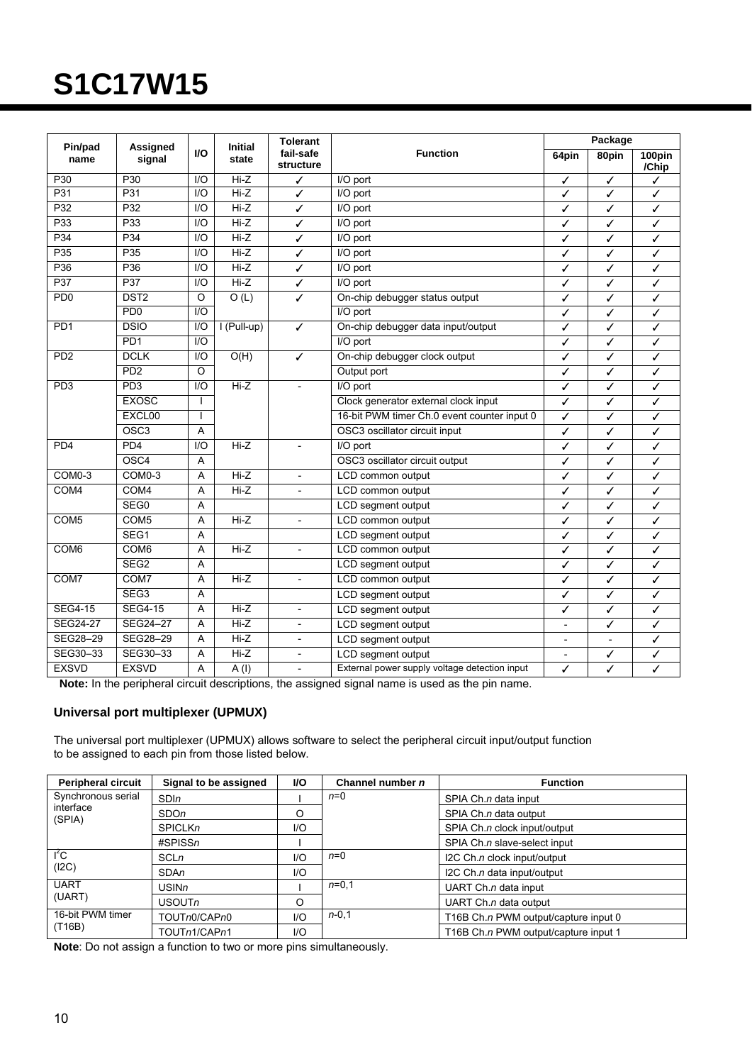|                             |                             |                  | <b>Initial</b>    | <b>Tolerant</b>          |                                                     | Package |                |                 |
|-----------------------------|-----------------------------|------------------|-------------------|--------------------------|-----------------------------------------------------|---------|----------------|-----------------|
| Pin/pad<br>name             | Assigned<br>signal          | <b>VO</b>        | state             | fail-safe<br>structure   | <b>Function</b>                                     | 64pin   | 80pin          | 100pin<br>/Chip |
| P30                         | P30                         | 1/O              | $Hi-Z$            | ✓                        | I/O port                                            | ✓       | ✓              | ✓               |
| P31                         | P31                         | $\overline{1/O}$ | $Hi-Z$            | ✓                        | I/O port                                            | ✓       | J              | ✓               |
| P32                         | P32                         | $U$              | $Hi-Z$            | ✓                        | I/O port                                            | ✓       | ✓              | ✓               |
| P <sub>33</sub>             | P33                         | $U$              | $Hi-Z$            | ✓                        | I/O port                                            | ✓       | ✓              | ✓               |
| P34                         | P34                         | I/O              | $Hi-Z$            | ✓                        | $\overline{IO}$ port                                | ✓       | ✓              | ✓               |
| P <sub>35</sub>             | P <sub>35</sub>             | I/O              | $Hi-Z$            | ✓                        | $\overline{IO}$ port                                | ✓       | ✓              | ✓               |
| P <sub>36</sub>             | P36                         | $\overline{1/O}$ | $Hi-Z$            | ✓                        | I/O port                                            | ✓       | ✓              | ✓               |
| P37                         | P37                         | I/O              | $Hi-Z$            | ✓                        | I/O port                                            | J       | ✓              | ✓               |
| P <sub>D</sub> <sub>0</sub> | DST <sub>2</sub>            | $\circ$          | O(L)              | ✓                        | On-chip debugger status output                      | ✓       | ✓              | ✓               |
|                             | PD <sub>0</sub>             | $U$              |                   |                          | I/O port                                            | ✓       | ✓              | ✓               |
| PD <sub>1</sub>             | <b>DSIO</b>                 | 1/O              | I (Pull-up)       | ✓                        | On-chip debugger data input/output                  | ✓       | ✓              | ✓               |
|                             | PD <sub>1</sub>             | 1/O              |                   |                          | I/O port                                            | ✓       | ✓              | ✓               |
| P <sub>D</sub> <sub>2</sub> | <b>DCLK</b>                 | $II$             | O(H)              | ✓                        | On-chip debugger clock output                       | ✓       | ✓              | ✓               |
|                             | P <sub>D</sub> <sub>2</sub> | $\Omega$         |                   |                          | Output port                                         | ✓       | ✓              | ✓               |
| PD <sub>3</sub>             | PD3                         | I/O              | $Hi-Z$            | $\overline{a}$           | I/O port                                            | ✓       | ✓              | ✓               |
|                             | <b>EXOSC</b>                | $\mathbf{I}$     |                   |                          | Clock generator external clock input                | ✓       | ✓              | ✓               |
|                             | EXCL00                      | $\mathbf{I}$     |                   |                          | 16-bit PWM timer Ch.0 event counter input 0         | ✓       | ✓              | ✓               |
|                             | OSC <sub>3</sub>            | A                |                   |                          | OSC3 oscillator circuit input                       | ✓       | ✓              | ✓               |
| PD <sub>4</sub>             | PD <sub>4</sub>             | $U$              | $Hi-Z$            |                          | I/O port                                            | ✓       | ✓              | ✓               |
|                             | OSC <sub>4</sub>            | A                |                   |                          | OSC3 oscillator circuit output                      | ✓       | ✓              | ✓               |
| COM <sub>0</sub> -3         | $COMO-3$                    | A                | $Hi-Z$            | $\overline{\phantom{a}}$ | LCD common output                                   | ✓       | ✓              | ✓               |
| COM4                        | COM <sub>4</sub>            | A                | $Hi-Z$            |                          | LCD common output                                   | ✓       | ✓              | ✓               |
|                             | SEG0                        | Α                |                   |                          | LCD segment output                                  | ✓       | ✓              | ✓               |
| COM <sub>5</sub>            | COM <sub>5</sub>            | A                | $Hi-Z$            | $\overline{\phantom{a}}$ | LCD common output                                   | ✓       | ✓              | ✓               |
|                             | SEG1                        | A                |                   |                          | LCD segment output                                  | ✓       | ✓              | ✓               |
| COM <sub>6</sub>            | COM6                        | A                | $Hi-Z$            | $\overline{\phantom{a}}$ | LCD common output                                   | ✓       | ✓              | ✓               |
|                             | SEG <sub>2</sub>            | Α                |                   |                          | LCD segment output                                  | ✓       | ✓              | ✓               |
| COM7                        | COM7                        | A                | $Hi-Z$            | $\overline{\phantom{a}}$ | LCD common output                                   | ✓       | ✓              | ✓               |
|                             | SEG <sub>3</sub>            | Α                |                   |                          | LCD segment output                                  | ✓       | ✓              | ✓               |
| <b>SEG4-15</b>              | <b>SEG4-15</b>              | A                | $Hi-Z$            | $\overline{\phantom{a}}$ | LCD segment output                                  |         | ✓              | ✓               |
| <b>SEG24-27</b>             | SEG24-27                    | A                | $Hi-Z$            | $\overline{a}$           | LCD segment output                                  |         | ✓              | ✓               |
| SEG28-29                    | SEG28-29                    | A                | $Hi-Z$            | $\overline{a}$           | LCD segment output<br>$\overline{a}$                |         | $\overline{a}$ | ✓               |
| SEG30-33                    | SEG30-33                    | A                | $Hi-Z$            | $\overline{\phantom{a}}$ | LCD segment output<br>✓<br>$\overline{\phantom{a}}$ |         | ✓              |                 |
| <b>EXSVD</b>                | <b>EXSVD</b>                | A                | $\overline{A(1)}$ | $\overline{\phantom{a}}$ | External power supply voltage detection input       | ✓       | ✓              | ✓               |

**Note:** In the peripheral circuit descriptions, the assigned signal name is used as the pin name.

#### **Universal port multiplexer (UPMUX)**

The universal port multiplexer (UPMUX) allows software to select the peripheral circuit input/output function to be assigned to each pin from those listed below.

| <b>Peripheral circuit</b>                           | Signal to be assigned | <b>VO</b> | Channel number n | <b>Function</b>                      |
|-----------------------------------------------------|-----------------------|-----------|------------------|--------------------------------------|
| Synchronous serial                                  | SDIn                  |           | $n=0$            | SPIA Ch.n data input                 |
| interface<br>(SPIA)                                 | SDO <sub>n</sub>      | O         |                  | SPIA Ch.n data output                |
|                                                     | <b>SPICLKn</b>        | 1/O       |                  | SPIA Ch.n clock input/output         |
|                                                     | $\#SPISSn$            |           |                  | SPIA Ch.n slave-select input         |
| $I^2C$<br>(I2C)                                     | <b>SCLn</b>           | 1/O       | $n=0$            | I2C Ch.n clock input/output          |
|                                                     | <b>SDAn</b>           | 1/O       |                  | I2C Ch.n data input/output           |
| <b>UART</b><br>(UART)<br>16-bit PWM timer<br>(T16B) | USINn                 |           | $n=0.1$          | UART Ch.n data input                 |
|                                                     | USOUTn                |           |                  | UART Ch. $n$ data output             |
|                                                     | TOUTn0/CAPn0          | 1/O       | $n - 0, 1$       | T16B Ch.n PWM output/capture input 0 |
|                                                     | TOUTn1/CAPn1          | 1/O       |                  | T16B Ch.n PWM output/capture input 1 |

**Note**: Do not assign a function to two or more pins simultaneously.